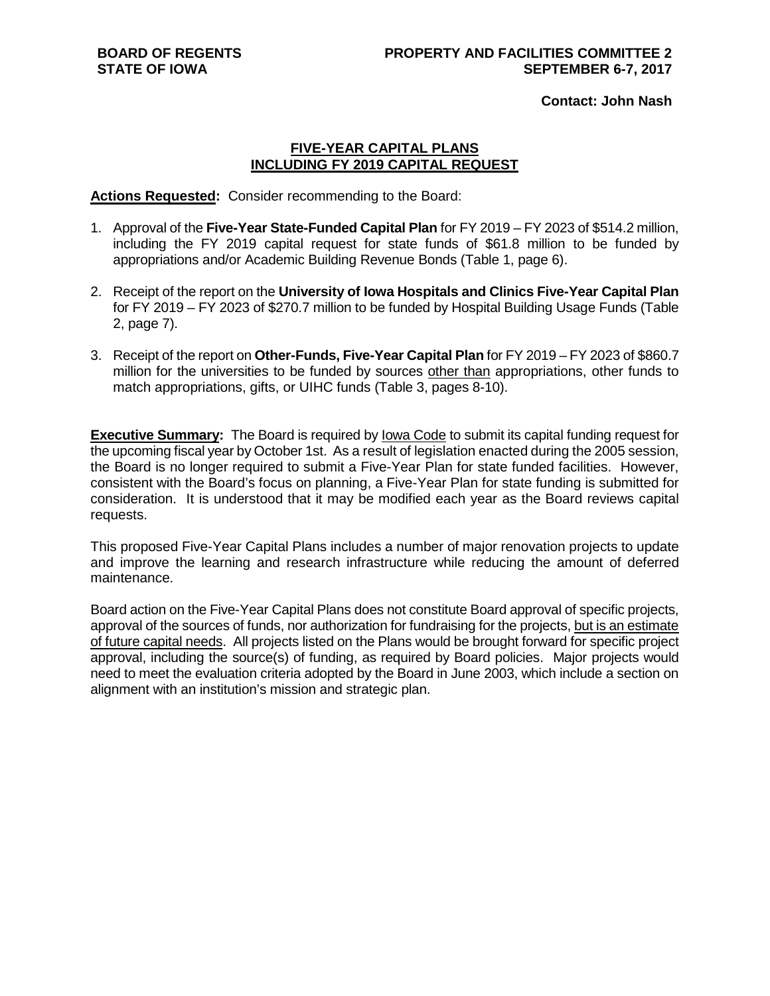**Contact: John Nash**

### **FIVE-YEAR CAPITAL PLANS INCLUDING FY 2019 CAPITAL REQUEST**

**Actions Requested:** Consider recommending to the Board:

- 1. Approval of the **Five-Year State-Funded Capital Plan** for FY 2019 FY 2023 of \$514.2 million, including the FY 2019 capital request for state funds of \$61.8 million to be funded by appropriations and/or Academic Building Revenue Bonds (Table 1, page 6).
- 2. Receipt of the report on the **University of Iowa Hospitals and Clinics Five-Year Capital Plan** for FY 2019 – FY 2023 of \$270.7 million to be funded by Hospital Building Usage Funds (Table 2, page 7).
- 3. Receipt of the report on **Other-Funds, Five-Year Capital Plan** for FY 2019 FY 2023 of \$860.7 million for the universities to be funded by sources other than appropriations, other funds to match appropriations, gifts, or UIHC funds (Table 3, pages 8-10).

**Executive Summary:** The Board is required by Iowa Code to submit its capital funding request for the upcoming fiscal year by October 1st. As a result of legislation enacted during the 2005 session, the Board is no longer required to submit a Five-Year Plan for state funded facilities. However, consistent with the Board's focus on planning, a Five-Year Plan for state funding is submitted for consideration. It is understood that it may be modified each year as the Board reviews capital requests.

This proposed Five-Year Capital Plans includes a number of major renovation projects to update and improve the learning and research infrastructure while reducing the amount of deferred maintenance.

Board action on the Five-Year Capital Plans does not constitute Board approval of specific projects, approval of the sources of funds, nor authorization for fundraising for the projects, but is an estimate of future capital needs. All projects listed on the Plans would be brought forward for specific project approval, including the source(s) of funding, as required by Board policies. Major projects would need to meet the evaluation criteria adopted by the Board in June 2003, which include a section on alignment with an institution's mission and strategic plan.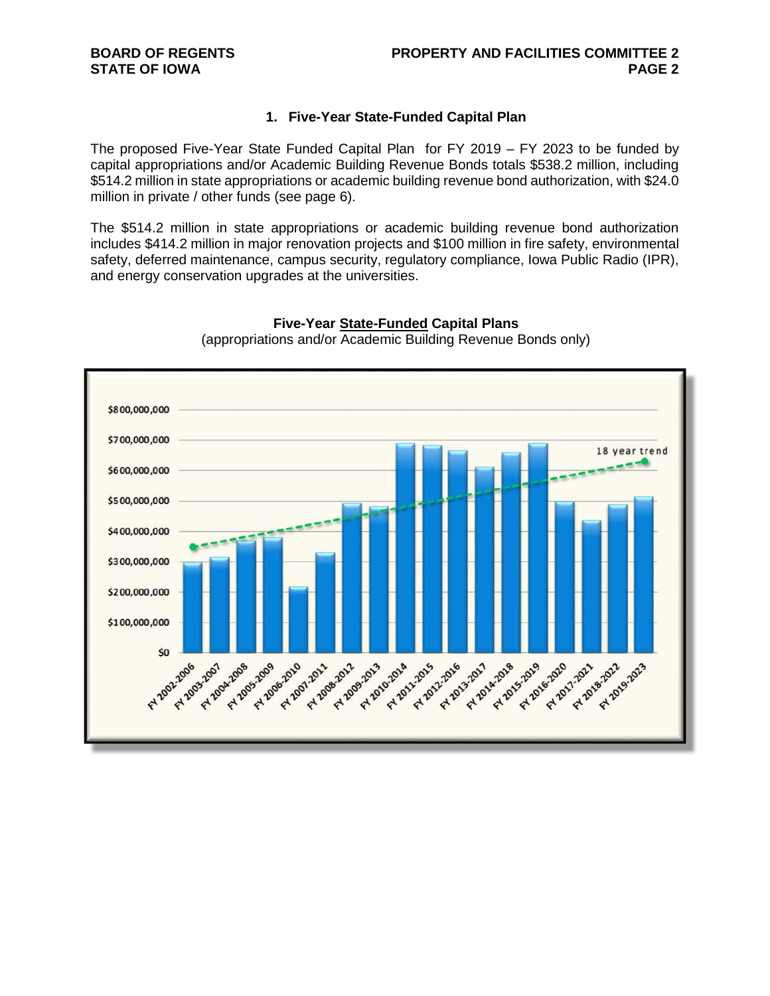### **1. Five-Year State-Funded Capital Plan**

The proposed Five-Year State Funded Capital Plan for FY 2019 – FY 2023 to be funded by capital appropriations and/or Academic Building Revenue Bonds totals \$538.2 million, including \$514.2 million in state appropriations or academic building revenue bond authorization, with \$24.0 million in private / other funds (see page 6).

The \$514.2 million in state appropriations or academic building revenue bond authorization includes \$414.2 million in major renovation projects and \$100 million in fire safety, environmental safety, deferred maintenance, campus security, regulatory compliance, Iowa Public Radio (IPR), and energy conservation upgrades at the universities.



**Five-Year State-Funded Capital Plans** (appropriations and/or Academic Building Revenue Bonds only)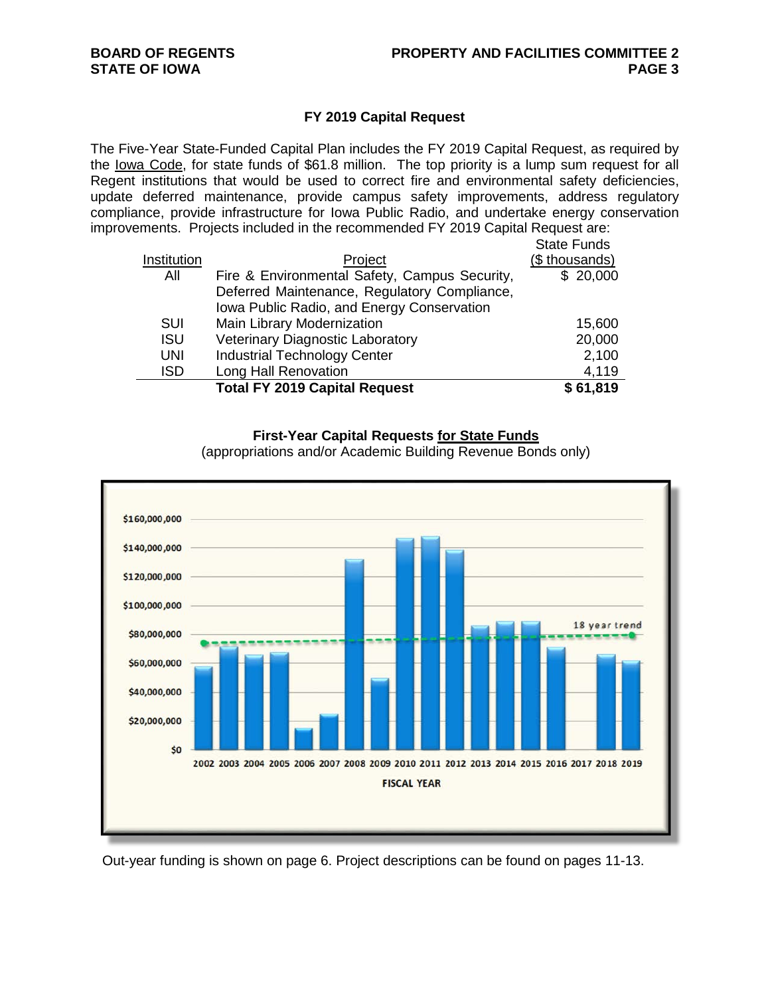### **FY 2019 Capital Request**

The Five-Year State-Funded Capital Plan includes the FY 2019 Capital Request, as required by the Iowa Code, for state funds of \$61.8 million. The top priority is a lump sum request for all Regent institutions that would be used to correct fire and environmental safety deficiencies, update deferred maintenance, provide campus safety improvements, address regulatory compliance, provide infrastructure for Iowa Public Radio, and undertake energy conservation improvements. Projects included in the recommended FY 2019 Capital Request are:

|             |                                               | <b>State Funds</b> |
|-------------|-----------------------------------------------|--------------------|
| Institution | Project                                       | (\$ thousands)     |
| All         | Fire & Environmental Safety, Campus Security, | \$20,000           |
|             | Deferred Maintenance, Regulatory Compliance,  |                    |
|             | Iowa Public Radio, and Energy Conservation    |                    |
| <b>SUI</b>  | Main Library Modernization                    | 15,600             |
| <b>ISU</b>  | <b>Veterinary Diagnostic Laboratory</b>       | 20,000             |
| <b>UNI</b>  | <b>Industrial Technology Center</b>           | 2,100              |
| <b>ISD</b>  | <b>Long Hall Renovation</b>                   | 4,119              |
|             | <b>Total FY 2019 Capital Request</b>          | \$61,819           |

### **First-Year Capital Requests for State Funds**

(appropriations and/or Academic Building Revenue Bonds only)



Out-year funding is shown on page 6. Project descriptions can be found on pages 11-13.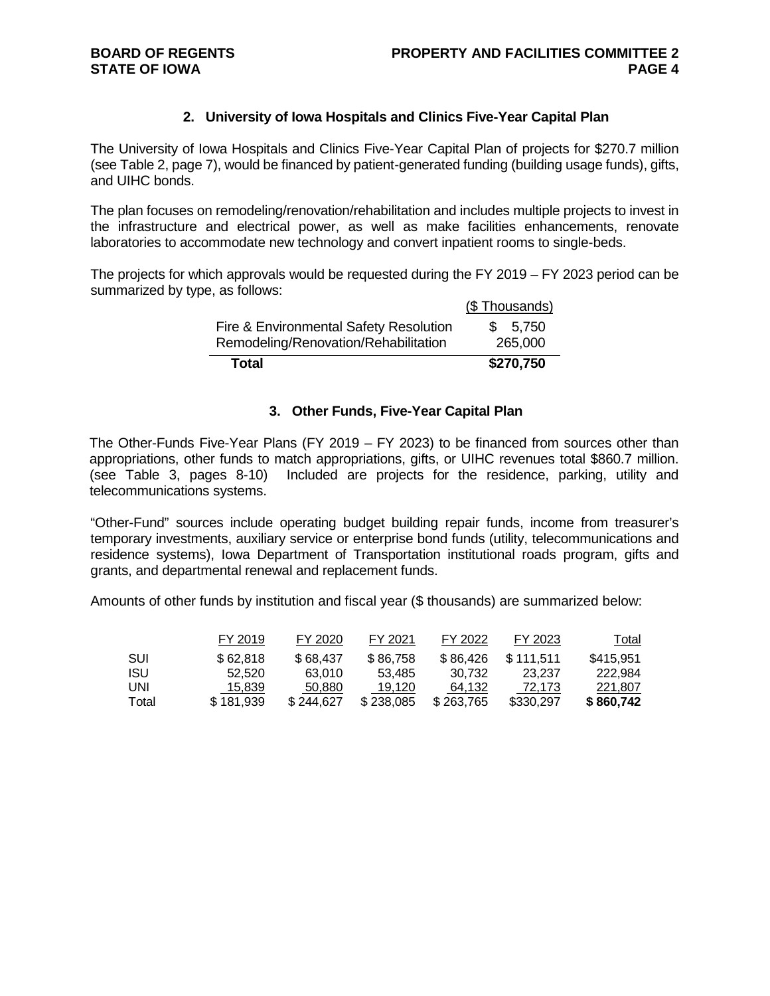### **2. University of Iowa Hospitals and Clinics Five-Year Capital Plan**

The University of Iowa Hospitals and Clinics Five-Year Capital Plan of projects for \$270.7 million (see Table 2, page 7), would be financed by patient-generated funding (building usage funds), gifts, and UIHC bonds.

The plan focuses on remodeling/renovation/rehabilitation and includes multiple projects to invest in the infrastructure and electrical power, as well as make facilities enhancements, renovate laboratories to accommodate new technology and convert inpatient rooms to single-beds.

The projects for which approvals would be requested during the FY 2019 – FY 2023 period can be summarized by type, as follows:  $(6 - 1)$ 

| Total                                                                          | \$270,750          |
|--------------------------------------------------------------------------------|--------------------|
| Fire & Environmental Safety Resolution<br>Remodeling/Renovation/Rehabilitation | \$5,750<br>265,000 |
|                                                                                | (\$ Thousands)     |

### **3. Other Funds, Five-Year Capital Plan**

The Other-Funds Five-Year Plans (FY 2019 – FY 2023) to be financed from sources other than appropriations, other funds to match appropriations, gifts, or UIHC revenues total \$860.7 million. (see Table 3, pages 8-10) Included are projects for the residence, parking, utility and telecommunications systems.

"Other-Fund" sources include operating budget building repair funds, income from treasurer's temporary investments, auxiliary service or enterprise bond funds (utility, telecommunications and residence systems), Iowa Department of Transportation institutional roads program, gifts and grants, and departmental renewal and replacement funds.

Amounts of other funds by institution and fiscal year (\$ thousands) are summarized below:

|            | FY 2019   | FY 2020   | FY 2021   | FY 2022   | FY 2023   | <u>Total</u> |
|------------|-----------|-----------|-----------|-----------|-----------|--------------|
| <b>SUI</b> | \$62.818  | \$68.437  | \$86,758  | \$86,426  | \$111.511 | \$415.951    |
| ISU        | 52.520    | 63.010    | 53.485    | 30.732    | 23.237    | 222.984      |
| UNI        | 15,839    | 50,880    | 19.120    | 64.132    | 72.173    | 221.807      |
| Total      | \$181.939 | \$244.627 | \$238.085 | \$263,765 | \$330,297 | \$860,742    |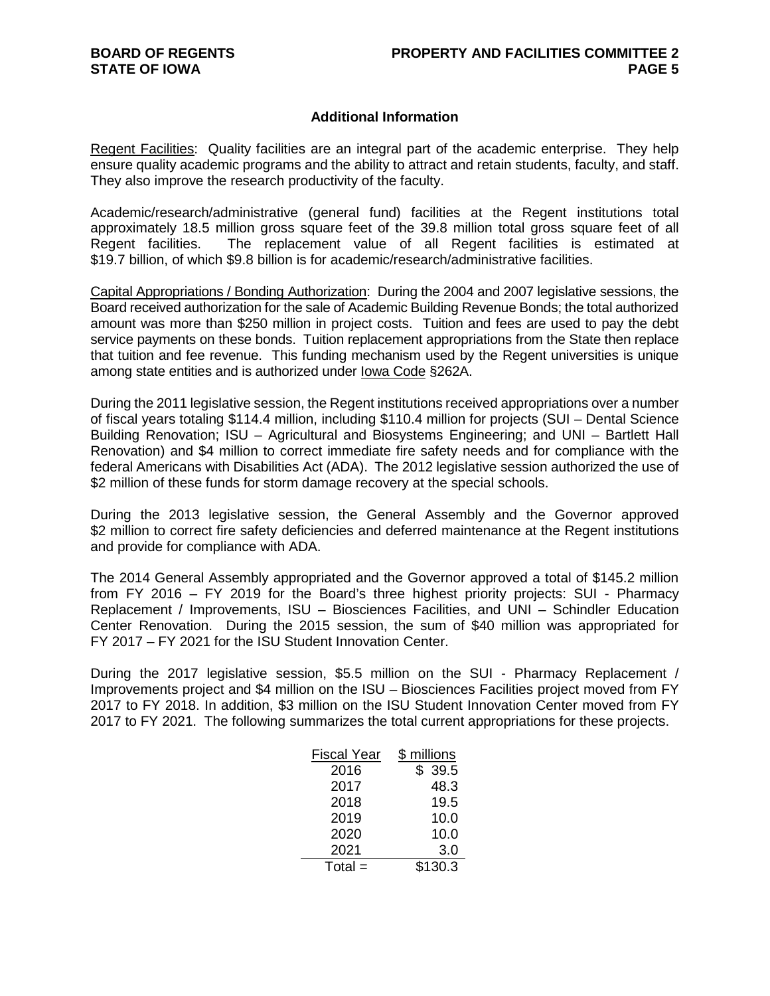### **Additional Information**

Regent Facilities:Quality facilities are an integral part of the academic enterprise. They help ensure quality academic programs and the ability to attract and retain students, faculty, and staff. They also improve the research productivity of the faculty.

Academic/research/administrative (general fund) facilities at the Regent institutions total approximately 18.5 million gross square feet of the 39.8 million total gross square feet of all Regent facilities. The replacement value of all Regent facilities is estimated at \$19.7 billion, of which \$9.8 billion is for academic/research/administrative facilities.

Capital Appropriations / Bonding Authorization: During the 2004 and 2007 legislative sessions, the Board received authorization for the sale of Academic Building Revenue Bonds; the total authorized amount was more than \$250 million in project costs. Tuition and fees are used to pay the debt service payments on these bonds. Tuition replacement appropriations from the State then replace that tuition and fee revenue. This funding mechanism used by the Regent universities is unique among state entities and is authorized under Iowa Code §262A.

During the 2011 legislative session, the Regent institutions received appropriations over a number of fiscal years totaling \$114.4 million, including \$110.4 million for projects (SUI – Dental Science Building Renovation; ISU – Agricultural and Biosystems Engineering; and UNI – Bartlett Hall Renovation) and \$4 million to correct immediate fire safety needs and for compliance with the federal Americans with Disabilities Act (ADA). The 2012 legislative session authorized the use of \$2 million of these funds for storm damage recovery at the special schools.

During the 2013 legislative session, the General Assembly and the Governor approved \$2 million to correct fire safety deficiencies and deferred maintenance at the Regent institutions and provide for compliance with ADA.

The 2014 General Assembly appropriated and the Governor approved a total of \$145.2 million from FY 2016 – FY 2019 for the Board's three highest priority projects: SUI - Pharmacy Replacement / Improvements, ISU – Biosciences Facilities, and UNI – Schindler Education Center Renovation. During the 2015 session, the sum of \$40 million was appropriated for FY 2017 – FY 2021 for the ISU Student Innovation Center.

During the 2017 legislative session, \$5.5 million on the SUI - Pharmacy Replacement / Improvements project and \$4 million on the ISU – Biosciences Facilities project moved from FY 2017 to FY 2018. In addition, \$3 million on the ISU Student Innovation Center moved from FY 2017 to FY 2021. The following summarizes the total current appropriations for these projects.

| Fiscal Year | \$ millions |
|-------------|-------------|
| 2016        | 39.5        |
| 2017        | 48.3        |
| 2018        | 19.5        |
| 2019        | 10.0        |
| 2020        | 10.0        |
| 2021        | 3.0         |
| $Total =$   | \$130.3     |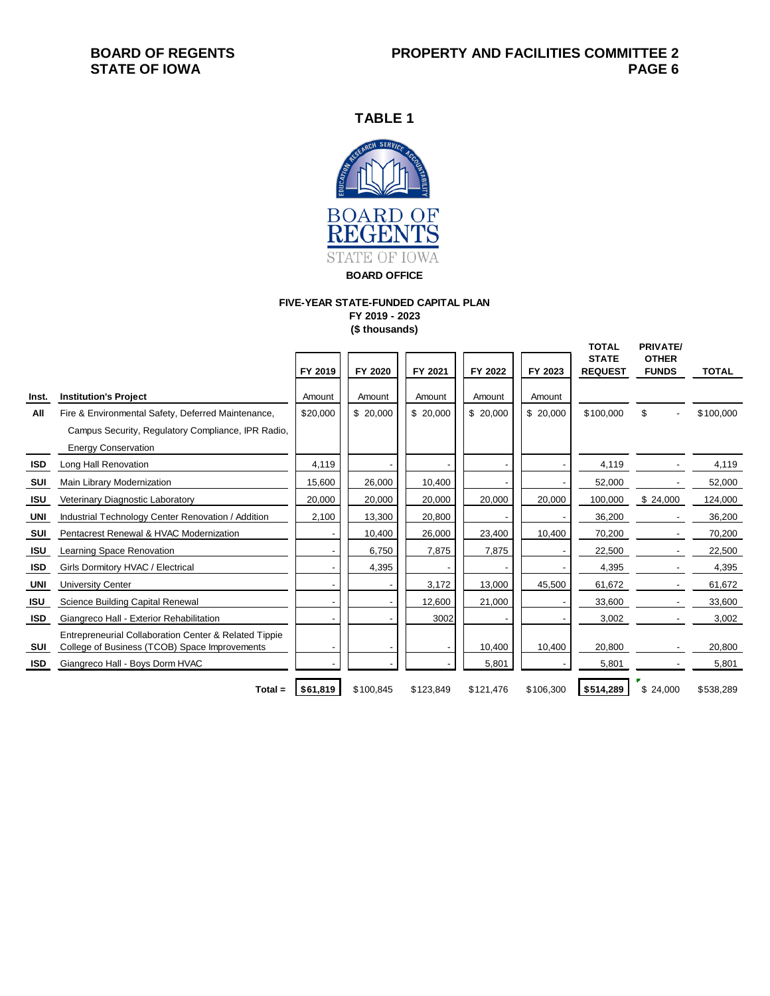**TABLE 1**



**BOARD OFFICE**

# **FIVE-YEAR STATE-FUNDED CAPITAL PLAN**

**FY 2019 - 2023 (\$ thousands)**

|            |                                                       |          |           |           |           |           | <b>TOTAL</b>   | <b>PRIVATE/</b>              |              |
|------------|-------------------------------------------------------|----------|-----------|-----------|-----------|-----------|----------------|------------------------------|--------------|
|            |                                                       | FY 2019  | FY 2020   | FY 2021   | FY 2022   | FY 2023   | <b>STATE</b>   | <b>OTHER</b><br><b>FUNDS</b> | <b>TOTAL</b> |
|            |                                                       |          |           |           |           |           | <b>REQUEST</b> |                              |              |
| Inst.      | <b>Institution's Project</b>                          | Amount   | Amount    | Amount    | Amount    | Amount    |                |                              |              |
| All        | Fire & Environmental Safety, Deferred Maintenance,    | \$20,000 | \$20,000  | \$20,000  | \$20,000  | \$20,000  | \$100,000      | \$                           | \$100,000    |
|            | Campus Security, Regulatory Compliance, IPR Radio,    |          |           |           |           |           |                |                              |              |
|            | <b>Energy Conservation</b>                            |          |           |           |           |           |                |                              |              |
| ISD        | Long Hall Renovation                                  | 4,119    |           |           |           |           | 4,119          |                              | 4,119        |
| SUI        | Main Library Modernization                            | 15,600   | 26,000    | 10,400    |           |           | 52,000         |                              | 52,000       |
| ISU        | Veterinary Diagnostic Laboratory                      | 20,000   | 20,000    | 20,000    | 20,000    | 20,000    | 100,000        | \$24,000                     | 124,000      |
| UNI        | Industrial Technology Center Renovation / Addition    | 2,100    | 13,300    | 20,800    |           |           | 36,200         |                              | 36,200       |
| SUI        | Pentacrest Renewal & HVAC Modernization               |          | 10,400    | 26,000    | 23,400    | 10,400    | 70,200         |                              | 70,200       |
| ISU        | Learning Space Renovation                             |          | 6,750     | 7,875     | 7,875     |           | 22,500         |                              | 22,500       |
| ISD        | Girls Dormitory HVAC / Electrical                     |          | 4,395     |           |           |           | 4,395          |                              | 4,395        |
| UNI        | <b>University Center</b>                              |          |           | 3,172     | 13,000    | 45,500    | 61,672         |                              | 61,672       |
| <b>ISU</b> | <b>Science Building Capital Renewal</b>               |          |           | 12,600    | 21,000    |           | 33,600         |                              | 33,600       |
| <b>ISD</b> | Giangreco Hall - Exterior Rehabilitation              |          |           | 3002      |           |           | 3,002          |                              | 3,002        |
|            | Entrepreneurial Collaboration Center & Related Tippie |          |           |           |           |           |                |                              |              |
| SUI        | College of Business (TCOB) Space Improvements         |          |           |           | 10,400    | 10,400    | 20,800         |                              | 20,800       |
| ISD        | Giangreco Hall - Boys Dorm HVAC                       |          |           |           | 5,801     |           | 5,801          |                              | 5,801        |
|            | $Total =$                                             | \$61,819 | \$100,845 | \$123,849 | \$121,476 | \$106,300 | \$514,289      | \$24,000                     | \$538,289    |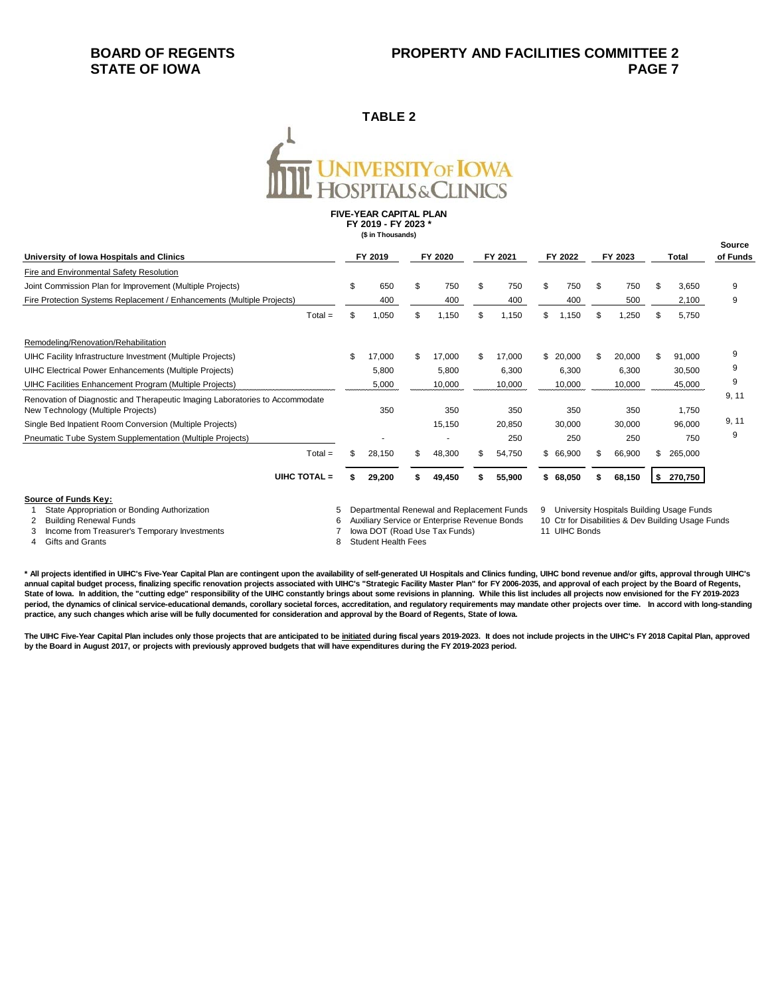### **BOARD OF REGENTS STATE OF IOWA**

### **TABLE 2**

# **JNIVERSITY OF <mark>IOWA</mark>**<br>FOSPITALS&CLINICS

**FIVE-YEAR CAPITAL PLAN FY 2019 - FY 2023 \*(\$ in Thousands)**

| University of Iowa Hospitals and Clinics<br>Fire and Environmental Safety Resolution                               |     | FY 2019 | FY 2020 |        | FY 2021 |        | FY 2022 |          | FY 2023 |        | Total |         | <b>Source</b><br>of Funds |
|--------------------------------------------------------------------------------------------------------------------|-----|---------|---------|--------|---------|--------|---------|----------|---------|--------|-------|---------|---------------------------|
|                                                                                                                    |     |         |         |        |         |        |         |          |         |        |       |         |                           |
| Joint Commission Plan for Improvement (Multiple Projects)                                                          | \$  | 650     | \$      | 750    |         | 750    | \$      | 750      | \$      | 750    | \$    | 3,650   | 9                         |
| Fire Protection Systems Replacement / Enhancements (Multiple Projects)                                             |     | 400     |         | 400    |         | 400    |         | 400      |         | 500    |       | 2,100   | 9                         |
| $Total =$                                                                                                          | \$. | 1,050   | \$      | 1,150  |         | 1,150  | \$.     | 1,150    | \$.     | ,250   |       | 5,750   |                           |
| Remodeling/Renovation/Rehabilitation                                                                               |     |         |         |        |         |        |         |          |         |        |       |         |                           |
| UIHC Facility Infrastructure Investment (Multiple Projects)                                                        |     | 17,000  | \$      | 17,000 |         | 17,000 | \$      | 20,000   | \$      | 20,000 | \$.   | 91,000  | 9                         |
| UIHC Electrical Power Enhancements (Multiple Projects)                                                             |     | 5,800   |         | 5,800  |         | 6,300  |         | 6,300    |         | 6,300  |       | 30,500  | 9                         |
| UIHC Facilities Enhancement Program (Multiple Projects)                                                            |     | 5,000   |         | 10,000 |         | 10,000 |         | 10,000   |         | 10,000 |       | 45,000  | 9                         |
| Renovation of Diagnostic and Therapeutic Imaging Laboratories to Accommodate<br>New Technology (Multiple Projects) |     | 350     |         | 350    |         | 350    |         | 350      |         | 350    |       | 1,750   | 9, 11                     |
| Single Bed Inpatient Room Conversion (Multiple Projects)                                                           |     |         |         | 15,150 |         | 20,850 |         | 30,000   |         | 30,000 |       | 96,000  | 9, 11                     |
| Pneumatic Tube System Supplementation (Multiple Projects)                                                          |     |         |         |        |         | 250    |         | 250      |         | 250    |       | 750     | 9                         |
| $Total =$                                                                                                          | \$. | 28,150  | S.      | 48,300 | SS.     | 54,750 |         | \$66,900 | S       | 66,900 | S     | 265,000 |                           |
| UIHC TOTAL =                                                                                                       |     | 29,200  |         | 49,450 |         | 55,900 |         | \$68,050 | S.      | 68,150 | \$    | 270,750 |                           |
| Source of Funds Key:                                                                                               |     |         |         |        |         |        |         |          |         |        |       |         |                           |

1 State Appropriation or Bonding Authorization 5 Departmental Renewal and Replacement Funds 9 University Hospitals Building Usage Funds 2 Building Renewal Funds<br>3 Income from Treasurer's Temporary Investments (1990) The Musiliary Service or Enterprise Revenue Bonds 11 UHC Bonds<br>6 Auxiliary Service or Enterprise Revenue Bonds 11 UHC Bonds 1990 Treasurer's T

3 Income from Treasurer's Temporary Investments<br>4 Gifts and Grants

**\* All projects identified in UIHC's Five-Year Capital Plan are contingent upon the availability of self-generated UI Hospitals and Clinics funding, UIHC bond revenue and/or gifts, approval through UIHC's**  annual capital budget process, finalizing specific renovation projects associated with UIHC's "Strategic Facility Master Plan" for FY 2006-2035, and approval of each project by the Board of Regents, **State of Iowa. In addition, the "cutting edge" responsibility of the UIHC constantly brings about some revisions in planning. While this list includes all projects now envisioned for the FY 2019-2023**  period, the dynamics of clinical service-educational demands, corollary societal forces, accreditation, and regulatory requirements may mandate other projects over time. In accord with long-standing **practice, any such changes which arise will be fully documented for consideration and approval by the Board of Regents, State of Iowa.** 

8 Student Health Fees

The UIHC Five-Year Capital Plan includes only those projects that are anticipated to be initiated during fiscal years 2019-2023. It does not include projects in the UIHC's FY 2018 Capital Plan, approved **by the Board in August 2017, or projects with previously approved budgets that will have expenditures during the FY 2019-2023 period.**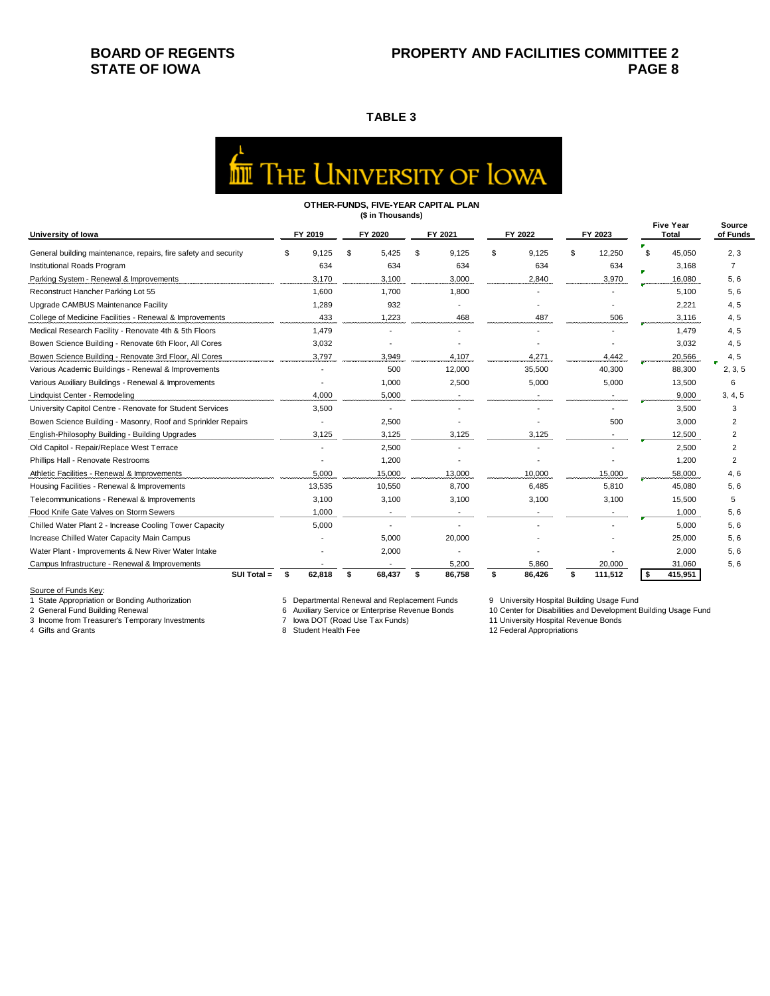## **BOARD OF REGENTS STATE OF IOWA**

### **TABLE 3**

| <b>IN THE UNIVERSITY OF LOWA</b> |  |
|----------------------------------|--|

#### **OTHER-FUNDS, FIVE-YEAR CAPITAL PLAN (\$ in Thousands)**

| University of Iowa                                              |      | FY 2019                  |    | FY 2020                  |  | FY 2021 |    | FY 2022 | FY 2023 |         | <b>Five Year</b><br>Total |         | Source<br>of Funds |
|-----------------------------------------------------------------|------|--------------------------|----|--------------------------|--|---------|----|---------|---------|---------|---------------------------|---------|--------------------|
| General building maintenance, repairs, fire safety and security |      | 9.125                    | \$ | 5.425                    |  | 9,125   | £. | 9,125   | \$      | 12,250  | ₽.<br>\$                  | 45,050  | 2, 3               |
| Institutional Roads Program                                     |      | 634                      |    | 634                      |  | 634     |    | 634     |         | 634     |                           | 3.168   | $\overline{7}$     |
| Parking System - Renewal & Improvements                         |      | 3,170                    |    | 3,100                    |  | 3,000   |    | 2,840   |         | 3,970   |                           | 16,080  | 5, 6               |
| Reconstruct Hancher Parking Lot 55                              |      | 1.600                    |    | 1.700                    |  | 1.800   |    |         |         |         |                           | 5.100   | 5, 6               |
| Upgrade CAMBUS Maintenance Facility                             |      | 1,289                    |    | 932                      |  |         |    |         |         |         |                           | 2.221   | 4, 5               |
| College of Medicine Facilities - Renewal & Improvements         |      | 433                      |    | 1,223                    |  | 468     |    | 487     |         | 506     |                           | 3.116   | 4, 5               |
| Medical Research Facility - Renovate 4th & 5th Floors           |      | 1.479                    |    |                          |  |         |    |         |         |         |                           | 1.479   | 4, 5               |
| Bowen Science Building - Renovate 6th Floor, All Cores          |      | 3,032                    |    |                          |  |         |    |         |         |         |                           | 3,032   | 4, 5               |
| Bowen Science Building - Renovate 3rd Floor, All Cores          |      | 3,797                    |    | 3,949                    |  | 4.107   |    | 4,271   |         | 4,442   |                           | 20,566  | 4, 5               |
| Various Academic Buildings - Renewal & Improvements             |      | $\overline{\phantom{a}}$ |    | 500                      |  | 12,000  |    | 35,500  |         | 40,300  |                           | 88,300  | 2, 3, 5            |
| Various Auxiliary Buildings - Renewal & Improvements            |      |                          |    | 1,000                    |  | 2,500   |    | 5,000   |         | 5,000   |                           | 13,500  | 6                  |
| Lindquist Center - Remodeling                                   |      | 4.000                    |    | 5,000                    |  |         |    |         |         |         |                           | 9.000   | 3, 4, 5            |
| University Capitol Centre - Renovate for Student Services       |      | 3,500                    |    | $\overline{\phantom{a}}$ |  |         |    |         |         |         |                           | 3,500   | 3                  |
| Bowen Science Building - Masonry, Roof and Sprinkler Repairs    |      |                          |    | 2,500                    |  |         |    |         |         | 500     |                           | 3,000   | $\overline{2}$     |
| English-Philosophy Building - Building Upgrades                 |      | 3,125                    |    | 3,125                    |  | 3,125   |    | 3,125   |         |         |                           | 12.500  | 2                  |
| Old Capitol - Repair/Replace West Terrace                       |      |                          |    | 2,500                    |  |         |    |         |         |         |                           | 2.500   | $\overline{2}$     |
| Phillips Hall - Renovate Restrooms                              |      |                          |    | 1,200                    |  |         |    |         |         |         |                           | 1,200   | $\overline{2}$     |
| Athletic Facilities - Renewal & Improvements                    |      | 5.000                    |    | 15.000                   |  | 13,000  |    | 10,000  |         | 15,000  |                           | 58,000  | 4, 6               |
| Housing Facilities - Renewal & Improvements                     |      | 13.535                   |    | 10,550                   |  | 8.700   |    | 6.485   |         | 5.810   |                           | 45.080  | 5, 6               |
| Telecommunications - Renewal & Improvements                     |      | 3,100                    |    | 3,100                    |  | 3,100   |    | 3,100   |         | 3,100   |                           | 15,500  | 5                  |
| Flood Knife Gate Valves on Storm Sewers                         |      | 1.000                    |    |                          |  |         |    |         |         |         |                           | 1.000   | 5, 6               |
| Chilled Water Plant 2 - Increase Cooling Tower Capacity         |      | 5,000                    |    | $\overline{a}$           |  |         |    |         |         |         |                           | 5.000   | 5, 6               |
| Increase Chilled Water Capacity Main Campus                     |      |                          |    | 5,000                    |  | 20,000  |    |         |         |         |                           | 25,000  | 5, 6               |
| Water Plant - Improvements & New River Water Intake             |      |                          |    | 2,000                    |  |         |    |         |         |         |                           | 2.000   | 5.6                |
| Campus Infrastructure - Renewal & Improvements                  |      |                          |    |                          |  | 5,200   |    | 5.860   |         | 20.000  |                           | 31.060  | 5.6                |
| $SUI Total =$                                                   | - 56 | 62.818                   | \$ | 68,437                   |  | 86,758  | \$ | 86,426  | \$      | 111,512 | \$                        | 415,951 |                    |

Source of Funds Key:<br>1 State Appropriation or Bonding Authorization

3 Income from Treasurer's Temporary Investments 7 Iowa DOT (Road Use Tax Funds) 11 University Hospital Revenue Bonds (Road Tax Funds) 11 University Hospital Revenue Bonds and Grants

1 State Appropriation or Bonding Authorization 5 Departmental Renewal and Replacement Funds 9 University Hospital Building Usage Fund

2 6 Auxiliary Service or Enterprise Revenue Bonds 10 Center for Disabilities and Development Building Usage Fund<br>11 University Hospital Revenue Bonds 10 Center for Disabilities and Development Building Usage Fund

12 Federal Appropriations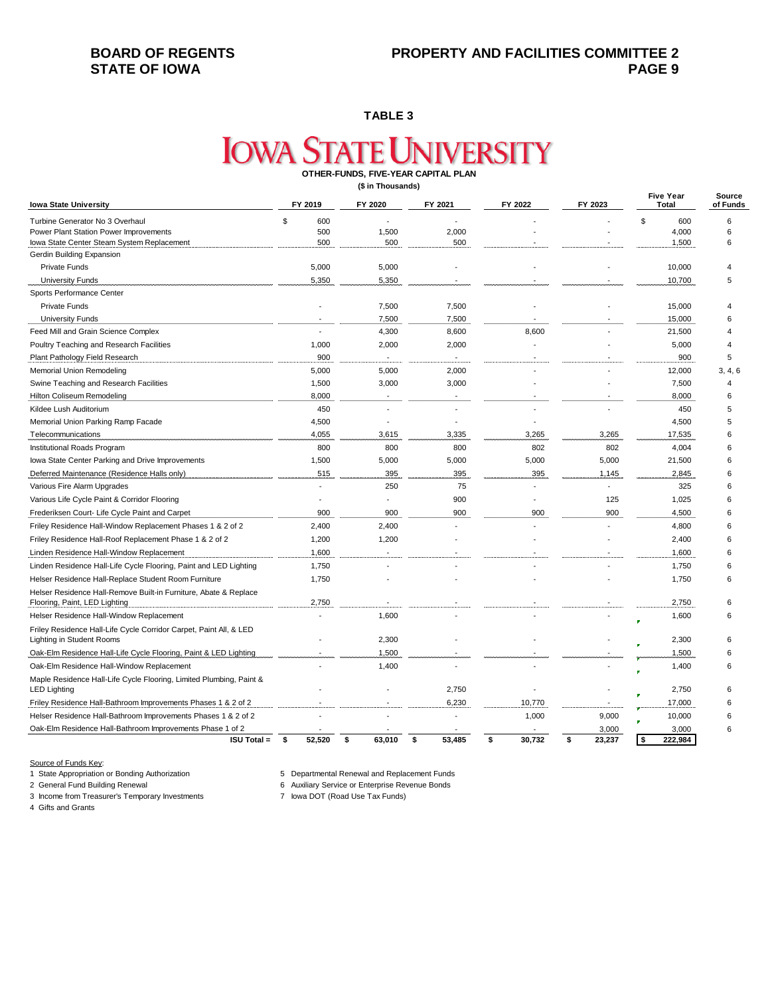**TABLE 3**

# **IOWA STATE UNIVERSITY OTHER-FUNDS, FIVE-YEAR CAPITAL PLAN**

**(\$ in Thousands)**

| <b>Iowa State University</b>                                                                      | FY 2019        | FY 2020      | FY 2021      | FY 2022      | FY 2023      | <b>Five Year</b><br><b>Total</b> | Source<br>of Funds |
|---------------------------------------------------------------------------------------------------|----------------|--------------|--------------|--------------|--------------|----------------------------------|--------------------|
| Turbine Generator No 3 Overhaul                                                                   | \$<br>600      |              |              |              |              | \$<br>600                        | 6                  |
| Power Plant Station Power Improvements                                                            | 500            | 1,500        | 2,000        |              |              | 4,000                            | 6                  |
| Iowa State Center Steam System Replacement                                                        | 500            | 500          | 500          |              |              | 1,500                            | 6                  |
| Gerdin Building Expansion                                                                         |                |              |              |              |              |                                  |                    |
| <b>Private Funds</b>                                                                              | 5,000          | 5,000        |              |              |              | 10,000                           |                    |
| <b>University Funds</b>                                                                           | 5,350          | 5,350        |              |              |              | 10,700                           | 5                  |
| Sports Performance Center                                                                         |                |              |              |              |              |                                  |                    |
| <b>Private Funds</b>                                                                              |                | 7,500        | 7,500        |              |              | 15,000                           | 4                  |
| <b>University Funds</b>                                                                           |                | 7,500        | 7,500        |              |              | 15,000                           | 6                  |
| Feed Mill and Grain Science Complex                                                               |                | 4,300        | 8,600        | 8,600        |              | 21,500                           | $\overline{4}$     |
| Poultry Teaching and Research Facilities                                                          | 1,000          | 2,000        | 2,000        |              |              | 5,000                            | $\overline{4}$     |
| Plant Pathology Field Research                                                                    | 900            |              |              |              |              | 900                              | 5                  |
| <b>Memorial Union Remodeling</b>                                                                  | 5,000          | 5,000        | 2,000        |              |              | 12,000                           | 3, 4, 6            |
| Swine Teaching and Research Facilities                                                            | 1,500          | 3,000        | 3,000        |              |              | 7,500                            | $\overline{4}$     |
| Hilton Coliseum Remodeling                                                                        | 8,000          |              |              |              |              | 8,000                            | 6                  |
| Kildee Lush Auditorium                                                                            | 450            |              |              |              |              | 450                              | 5                  |
| Memorial Union Parking Ramp Facade                                                                | 4,500          |              |              |              |              | 4,500                            | 5                  |
| Telecommunications                                                                                | 4,055          | 3,615        | 3,335        | 3,265        | 3,265        | 17,535                           | 6                  |
| Institutional Roads Program                                                                       | 800            | 800          | 800          | 802          | 802          | 4,004                            | 6                  |
| lowa State Center Parking and Drive Improvements                                                  | 1,500          | 5,000        | 5,000        | 5,000        | 5,000        | 21,500                           | 6                  |
| Deferred Maintenance (Residence Halls only)                                                       | 515            | 395          | 395          | 395          | 1,145        | 2,845                            | 6                  |
| Various Fire Alarm Upgrades                                                                       |                | 250          | 75           |              |              | 325                              | 6                  |
| Various Life Cycle Paint & Corridor Flooring                                                      |                |              | 900          |              | 125          | 1,025                            | 6                  |
| Frederiksen Court- Life Cycle Paint and Carpet                                                    | 900            | 900          | 900          | 900          | 900          | 4,500                            | 6                  |
| Friley Residence Hall-Window Replacement Phases 1 & 2 of 2                                        | 2,400          | 2,400        |              |              |              | 4,800                            | 6                  |
| Friley Residence Hall-Roof Replacement Phase 1 & 2 of 2                                           | 1,200          | 1,200        |              |              |              | 2,400                            | 6                  |
| Linden Residence Hall-Window Replacement                                                          | 1,600          |              |              |              |              | 1,600                            | 6                  |
| Linden Residence Hall-Life Cycle Flooring, Paint and LED Lighting                                 | 1,750          |              |              |              |              | 1,750                            | 6                  |
| Helser Residence Hall-Replace Student Room Furniture                                              | 1,750          |              |              |              |              | 1,750                            | 6                  |
| Helser Residence Hall-Remove Built-in Furniture, Abate & Replace<br>Flooring, Paint, LED Lighting | 2,750          |              |              |              |              | 2,750                            | 6                  |
| Helser Residence Hall-Window Replacement                                                          |                | 1,600        |              |              |              | 1,600                            | 6                  |
| Friley Residence Hall-Life Cycle Corridor Carpet, Paint All, & LED<br>Lighting in Student Rooms   |                | 2,300        |              |              |              | 2,300                            | 6                  |
|                                                                                                   |                | 1,500        |              |              |              | 1,500                            | 6                  |
| Oak-Elm Residence Hall-Life Cycle Flooring, Paint & LED Lighting                                  |                | 1,400        |              |              |              |                                  |                    |
| Oak-Elm Residence Hall-Window Replacement                                                         |                |              |              |              |              | 1,400                            | 6                  |
| Maple Residence Hall-Life Cycle Flooring, Limited Plumbing, Paint &<br><b>LED Lighting</b>        |                |              | 2,750        |              |              | 2,750                            | 6                  |
| Friley Residence Hall-Bathroom Improvements Phases 1 & 2 of 2                                     |                |              | 6,230        | 10,770       |              | 17,000                           | 6                  |
| Helser Residence Hall-Bathroom Improvements Phases 1 & 2 of 2                                     |                |              |              | 1,000        | 9,000        | 10,000                           | 6                  |
| Oak-Elm Residence Hall-Bathroom Improvements Phase 1 of 2                                         |                |              |              |              | 3,000        | 3,000                            | 6                  |
| <b>ISU Total =</b>                                                                                | 52,520<br>- \$ | 63,010<br>\$ | 53,485<br>\$ | 30,732<br>\$ | \$<br>23,237 | \$<br>222,984                    |                    |

Source of Funds Key:<br>1 State Appropriation or Bonding Authorization

3 Income from Treasurer's Temporary Investments

1 State Appropriation or Bonding Authorization 5 Departmental Renewal and Replacement Funds

2 General Building Service or Enterprise Revenue Bonds<br>2 Iowa DOT (Road Use Tax Funds)

4 Gifts and Grants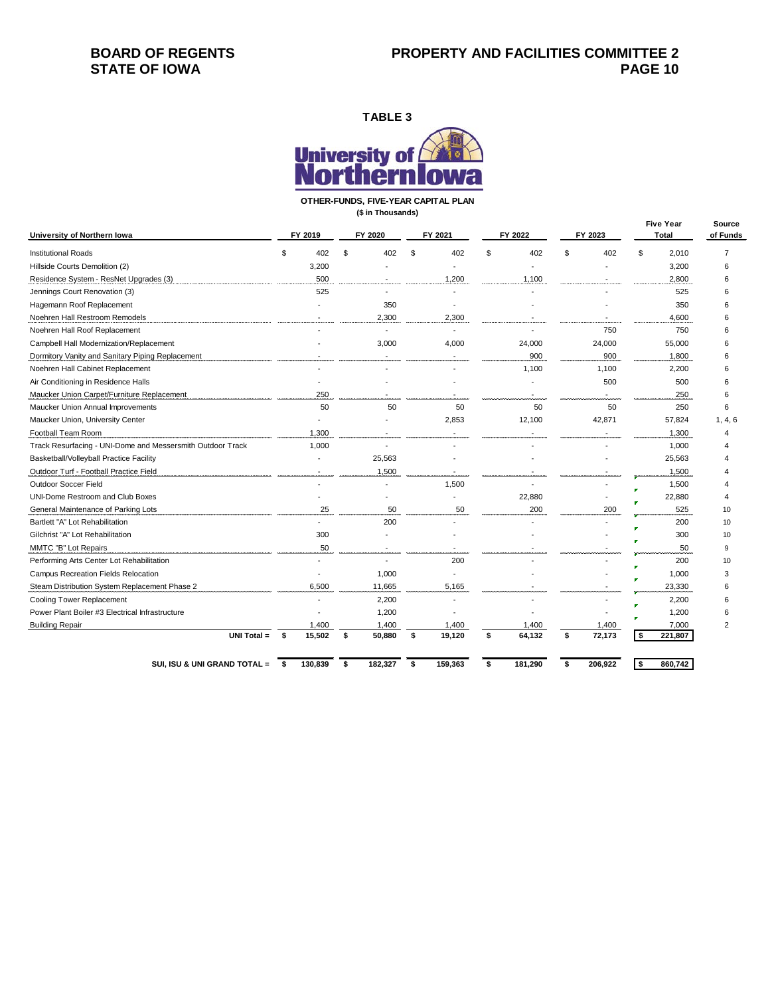## **BOARD OF REGENTS STATE OF IOWA**

**TABLE 3**



**OTHER-FUNDS, FIVE-YEAR CAPITAL PLAN**

**(\$ in Thousands)**

| University of Northern Iowa                                |      | FY 2019 |    | FY 2020                  |    | FY 2021 |    | FY 2022 |    | FY 2023 |    | <b>Five Year</b><br>Total | Source<br>of Funds |
|------------------------------------------------------------|------|---------|----|--------------------------|----|---------|----|---------|----|---------|----|---------------------------|--------------------|
| <b>Institutional Roads</b>                                 | \$   | 402     | \$ | 402                      | ٩  | 402     | £. | 402     |    | 402     | \$ | 2,010                     | $\overline{7}$     |
| Hillside Courts Demolition (2)                             |      | 3,200   |    |                          |    |         |    |         |    |         |    | 3,200                     | 6                  |
| Residence System - ResNet Upgrades (3)                     |      | 500     |    |                          |    | 1,200   |    | 1,100   |    |         |    | 2,800                     | 6                  |
| Jennings Court Renovation (3)                              |      | 525     |    |                          |    |         |    |         |    |         |    | 525                       | 6                  |
| Hagemann Roof Replacement                                  |      |         |    | 350                      |    |         |    |         |    |         |    | 350                       | 6                  |
| Noehren Hall Restroom Remodels                             |      |         |    | 2,300                    |    | 2,300   |    |         |    |         |    | 4,600                     | 6                  |
| Noehren Hall Roof Replacement                              |      |         |    | $\overline{a}$           |    |         |    |         |    | 750     |    | 750                       | 6                  |
| Campbell Hall Modernization/Replacement                    |      |         |    | 3,000                    |    | 4,000   |    | 24,000  |    | 24,000  |    | 55,000                    | 6                  |
| Dormitory Vanity and Sanitary Piping Replacement           |      |         |    |                          |    |         |    | 900     |    | 900     |    | 1,800                     | 6                  |
| Noehren Hall Cabinet Replacement                           |      |         |    |                          |    |         |    | 1,100   |    | 1,100   |    | 2,200                     | 6                  |
| Air Conditioning in Residence Halls                        |      |         |    |                          |    |         |    |         |    | 500     |    | 500                       | 6                  |
| Maucker Union Carpet/Furniture Replacement                 |      | 250     |    |                          |    |         |    |         |    |         |    | 250                       | 6                  |
| Maucker Union Annual Improvements                          |      | 50      |    | 50                       |    | 50      |    | 50      |    | 50      |    | 250                       | 6                  |
| Maucker Union, University Center                           |      |         |    |                          |    | 2,853   |    | 12,100  |    | 42,871  |    | 57,824                    | 1, 4, 6            |
| Football Team Room                                         |      | 1,300   |    |                          |    |         |    |         |    |         |    | 1,300                     | $\overline{4}$     |
| Track Resurfacing - UNI-Dome and Messersmith Outdoor Track |      | 1,000   |    | $\overline{a}$           |    |         |    |         |    |         |    | 1,000                     |                    |
| Basketball/Volleyball Practice Facility                    |      |         |    | 25,563                   |    |         |    |         |    |         |    | 25,563                    |                    |
| Outdoor Turf - Football Practice Field                     |      |         |    | 1,500                    |    |         |    |         |    |         |    | 1,500                     |                    |
| Outdoor Soccer Field                                       |      |         |    |                          |    | 1,500   |    |         |    |         |    | 1,500                     |                    |
| <b>UNI-Dome Restroom and Club Boxes</b>                    |      |         |    |                          |    |         |    | 22,880  |    |         |    | 22,880                    |                    |
| General Maintenance of Parking Lots                        |      | 25      |    | 50                       |    | 50      |    | 200     |    | 200     |    | 525                       | 10                 |
| Bartlett "A" Lot Rehabilitation                            |      |         |    | 200                      |    |         |    |         |    |         |    | 200                       | 10                 |
| Gilchrist "A" Lot Rehabilitation                           |      | 300     |    |                          |    |         |    |         |    |         |    | 300                       | 10                 |
| MMTC "B" Lot Repairs                                       |      | 50      |    | $\overline{\phantom{a}}$ |    |         |    |         |    |         |    | 50                        | 9                  |
| Performing Arts Center Lot Rehabilitation                  |      |         |    | $\overline{a}$           |    | 200     |    |         |    |         |    | 200                       | 10                 |
| Campus Recreation Fields Relocation                        |      |         |    | 1,000                    |    |         |    |         |    |         |    | 1,000                     | 3                  |
| Steam Distribution System Replacement Phase 2              |      | 6,500   |    | 11,665                   |    | 5,165   |    |         |    |         |    | 23,330                    | 6                  |
| Cooling Tower Replacement                                  |      |         |    | 2,200                    |    |         |    |         |    |         |    | 2,200                     | 6                  |
| Power Plant Boiler #3 Electrical Infrastructure            |      |         |    | 1,200                    |    |         |    |         |    |         |    | 1,200                     | 6                  |
| <b>Building Repair</b>                                     |      | 1,400   |    | 1,400                    |    | 1,400   |    | 1,400   |    | 1,400   |    | 7,000                     | $\overline{2}$     |
| <b>UNI Total <math>=</math></b>                            | - \$ | 15,502  | s. | 50,880                   | \$ | 19,120  | \$ | 64,132  | \$ | 72,173  | \$ | 221,807                   |                    |
| SUI, ISU & UNI GRAND TOTAL = \$                            |      | 130,839 | \$ | 182,327                  | \$ | 159,363 | \$ | 181,290 | \$ | 206,922 | \$ | 860,742                   |                    |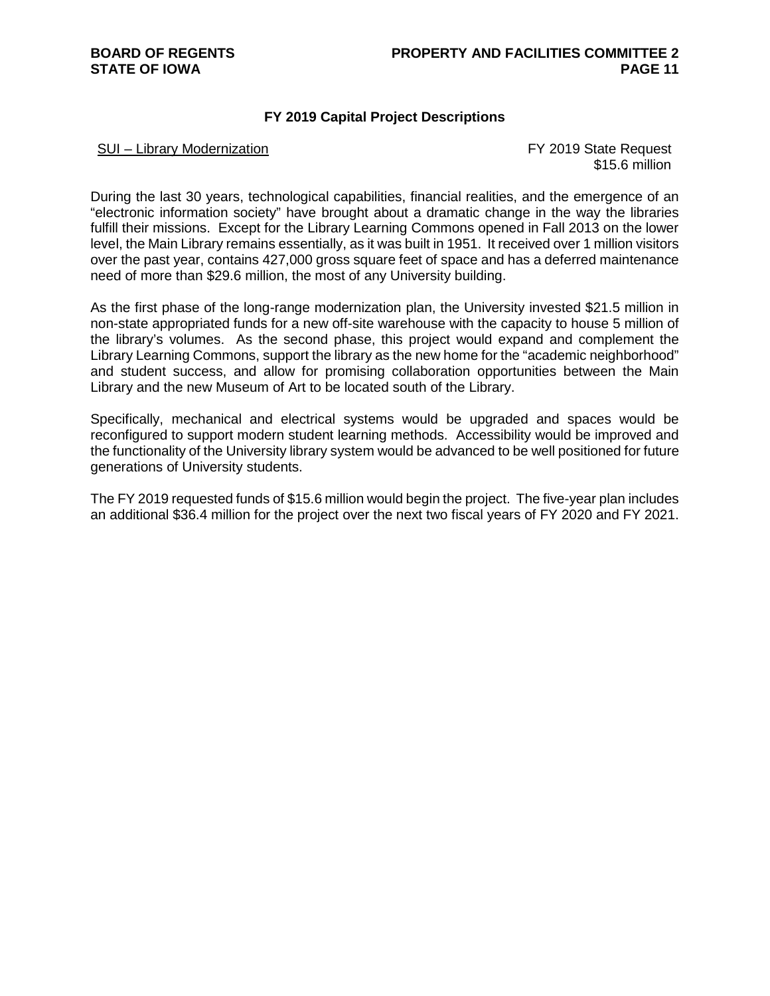### **FY 2019 Capital Project Descriptions**

### SUI – Library Modernization **FY 2019** State Request

\$15.6 million

During the last 30 years, technological capabilities, financial realities, and the emergence of an "electronic information society" have brought about a dramatic change in the way the libraries fulfill their missions. Except for the Library Learning Commons opened in Fall 2013 on the lower level, the Main Library remains essentially, as it was built in 1951. It received over 1 million visitors over the past year, contains 427,000 gross square feet of space and has a deferred maintenance need of more than \$29.6 million, the most of any University building.

As the first phase of the long-range modernization plan, the University invested \$21.5 million in non-state appropriated funds for a new off-site warehouse with the capacity to house 5 million of the library's volumes. As the second phase, this project would expand and complement the Library Learning Commons, support the library as the new home for the "academic neighborhood" and student success, and allow for promising collaboration opportunities between the Main Library and the new Museum of Art to be located south of the Library.

Specifically, mechanical and electrical systems would be upgraded and spaces would be reconfigured to support modern student learning methods. Accessibility would be improved and the functionality of the University library system would be advanced to be well positioned for future generations of University students.

The FY 2019 requested funds of \$15.6 million would begin the project. The five-year plan includes an additional \$36.4 million for the project over the next two fiscal years of FY 2020 and FY 2021.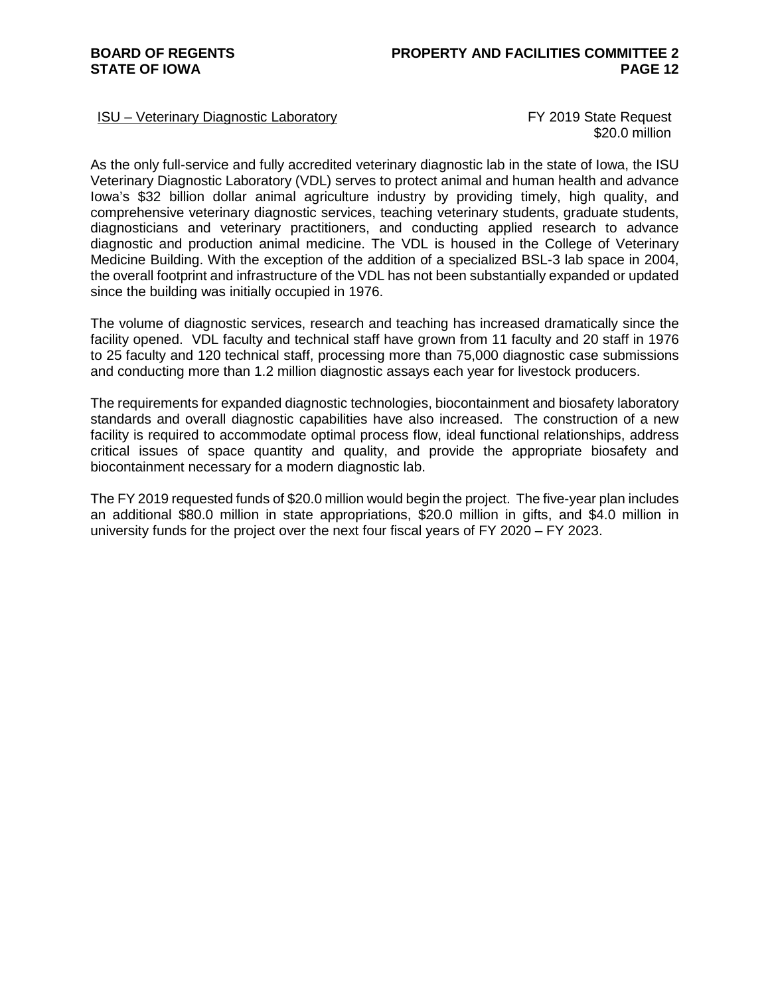### ISU – Veterinary Diagnostic Laboratory FY 2019 State Request

\$20.0 million

As the only full-service and fully accredited veterinary diagnostic lab in the state of Iowa, the ISU Veterinary Diagnostic Laboratory (VDL) serves to protect animal and human health and advance Iowa's \$32 billion dollar animal agriculture industry by providing timely, high quality, and comprehensive veterinary diagnostic services, teaching veterinary students, graduate students, diagnosticians and veterinary practitioners, and conducting applied research to advance diagnostic and production animal medicine. The VDL is housed in the College of Veterinary Medicine Building. With the exception of the addition of a specialized BSL-3 lab space in 2004, the overall footprint and infrastructure of the VDL has not been substantially expanded or updated since the building was initially occupied in 1976.

The volume of diagnostic services, research and teaching has increased dramatically since the facility opened. VDL faculty and technical staff have grown from 11 faculty and 20 staff in 1976 to 25 faculty and 120 technical staff, processing more than 75,000 diagnostic case submissions and conducting more than 1.2 million diagnostic assays each year for livestock producers.

The requirements for expanded diagnostic technologies, biocontainment and biosafety laboratory standards and overall diagnostic capabilities have also increased. The construction of a new facility is required to accommodate optimal process flow, ideal functional relationships, address critical issues of space quantity and quality, and provide the appropriate biosafety and biocontainment necessary for a modern diagnostic lab.

The FY 2019 requested funds of \$20.0 million would begin the project. The five-year plan includes an additional \$80.0 million in state appropriations, \$20.0 million in gifts, and \$4.0 million in university funds for the project over the next four fiscal years of FY 2020 – FY 2023.